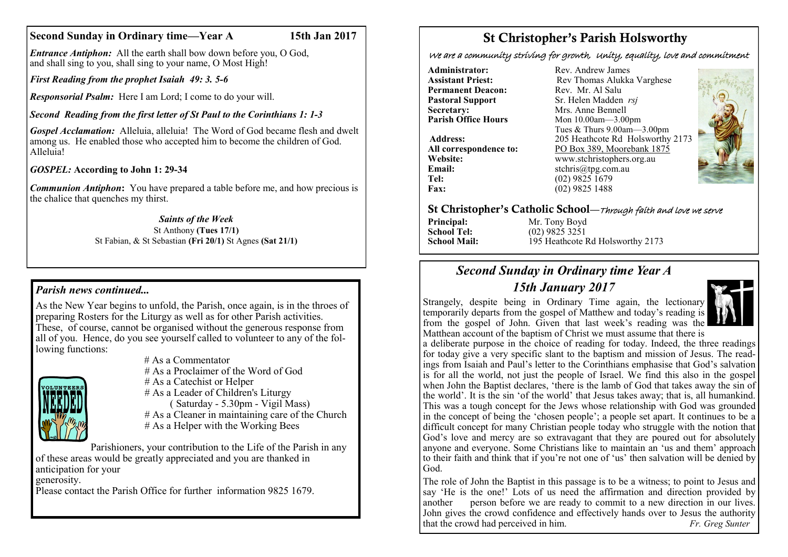#### **Second Sunday in Ordinary time—Year A 15th Jan 2017**

*Entrance Antiphon:* All the earth shall bow down before you, O God, and shall sing to you, shall sing to your name, O Most High!

*First Reading from the prophet Isaiah 49: 3. 5-6*

*Responsorial Psalm:* Here I am Lord; I come to do your will.

## *Second Reading from the first letter of St Paul to the Corinthians 1: 1-3*

*Gospel Acclamation:* Alleluia, alleluia! The Word of God became flesh and dwelt among us. He enabled those who accepted him to become the children of God. Alleluia!

*GOSPEL:* **According to John 1: 29-34**

*Communion Antiphon***:** You have prepared a table before me, and how precious is the chalice that quenches my thirst.

#### *Saints of the Week* St Anthony **(Tues 17/1)**

St Fabian, & St Sebastian **(Fri 20/1)** St Agnes **(Sat 21/1)**

### *Parish news continued...*

 As the New Year begins to unfold, the Parish, once again, is in the throes of preparing Rosters for the Liturgy as well as for other Parish activities. These, of course, cannot be organised without the generous response from all of you. Hence, do you see yourself called to volunteer to any of the following functions:



# As a Commentator # As a Proclaimer of the Word of God # As a Catechist or Helper # As a Leader of Children's Liturgy

 $(Saturdav - 5.30 \text{nm} - Vjoli Mass)$ # As a Cleaner in maintaining care of the Church # As a Helper with the Working Bees

Parishioners, your contribution to the Life of the Parish in any of these areas would be greatly appreciated and you are thanked in anticipation for your generosity.

Please contact the Parish Office for further information 9825 1679.

# St Christopher's Parish Holsworthy

We are a community striving for growth, Unity, equality, love and commitment

**Administrator:** Rev. Andrew James<br> **Assistant Priest:** Rev Thomas Alukka **Permanent Deacon:**<br>**Pastoral Support Secretary:** Mrs. Anne Bennell<br> **Parish Office Hours** Mon 10 00am - 3 00

**Email:** stchris@tpg.com.au<br> **Tel:** (02) 9825 1679 Tel: (02) 9825 1679<br> **Fax:** (02) 9825 1488

**Rev Thomas Alukka Varghese**<br>Rev Mr Al Salu **Pastoral Support** Sr. Helen Madden *rsj*<br>
Secretary: Mrs. Anne Bennell **Parish Office Hours** Mon 10.00am—3.00pm Tues & Thurs 9.00am—3.00pm **Address:** 205 Heathcote Rd Holsworthy 2173 **All correspondence to:** PO Box 389, Moorebank 1875<br>Website: www.stchristophers.org.au Website: www.stchristophers.org.au<br> **Email:** stchris@tng.com au **Fax:** (02) 9825 1488



#### St Christopher's Catholic School—Through faith and love we serve

**Principal:** Mr. Tony Boyd<br> **School Tel:** (02) 9825 3251 **School Tel:** (02) 9825 3251<br>**School Mail:** (195 Heathcote **I** 195 Heathcote Rd Holsworthy 2173

# *Second Sunday in Ordinary time Year A*

*15th January 2017* 

Strangely, despite being in Ordinary Time again, the lectionary temporarily departs from the gospel of Matthew and today's reading is from the gospel of John. Given that last week's reading was the Matthean account of the baptism of Christ we must assume that there is



a deliberate purpose in the choice of reading for today. Indeed, the three readings for today give a very specific slant to the baptism and mission of Jesus. The readings from Isaiah and Paul's letter to the Corinthians emphasise that God's salvation is for all the world, not just the people of Israel. We find this also in the gospel when John the Baptist declares, 'there is the lamb of God that takes away the sin of the world'. It is the sin 'of the world' that Jesus takes away; that is, all humankind. This was a tough concept for the Jews whose relationship with God was grounded in the concept of being the 'chosen people'; a people set apart. It continues to be a difficult concept for many Christian people today who struggle with the notion that God's love and mercy are so extravagant that they are poured out for absolutely anyone and everyone. Some Christians like to maintain an 'us and them' approach to their faith and think that if you're not one of 'us' then salvation will be denied by God.

The role of John the Baptist in this passage is to be a witness; to point to Jesus and say 'He is the one!' Lots of us need the affirmation and direction provided by another person before we are ready to commit to a new direction in our lives. John gives the crowd confidence and effectively hands over to Jesus the authority that the crowd had perceived in him. *Fr. Greg Sunter*